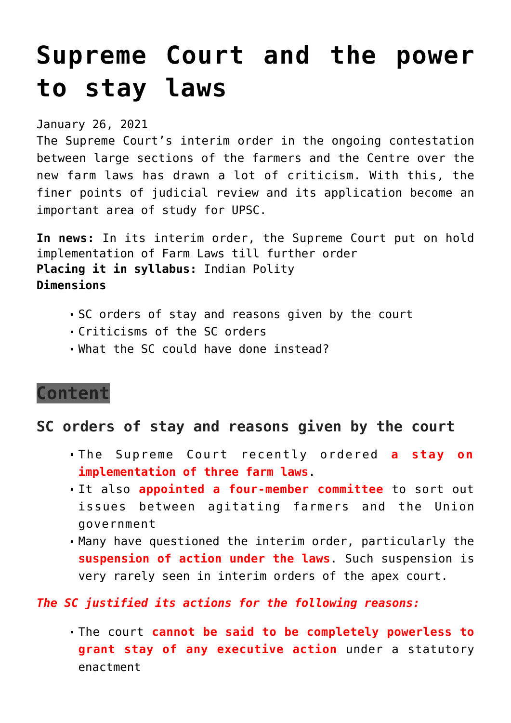# **[Supreme Court and the power](https://journalsofindia.com/supreme-court-and-the-power-to-stay-laws/) [to stay laws](https://journalsofindia.com/supreme-court-and-the-power-to-stay-laws/)**

January 26, 2021

The Supreme Court's interim order in the ongoing contestation between large sections of the farmers and the Centre over the new farm laws has drawn a lot of criticism. With this, the finer points of judicial review and its application become an important area of study for UPSC.

**In news:** In its interim order, the Supreme Court put on hold implementation of Farm Laws till further order **Placing it in syllabus:** Indian Polity **Dimensions**

- SC orders of stay and reasons given by the court
- Criticisms of the SC orders
- What the SC could have done instead?

# **Content**

## **SC orders of stay and reasons given by the court**

- The Supreme Court recently ordered **a stay on implementation of three farm laws**.
- It also **appointed a four-member committee** to sort out issues between agitating farmers and the Union government
- Many have questioned the interim order, particularly the **suspension of action under the laws**. Such suspension is very rarely seen in interim orders of the apex court.

#### *The SC justified its actions for the following reasons:*

The court **cannot be said to be completely powerless to grant stay of any executive action** under a statutory enactment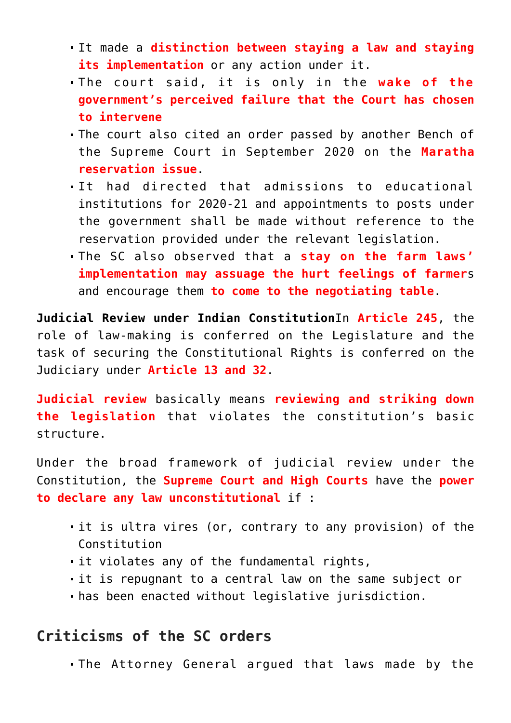- It made a **distinction between staying a law and staying its implementation** or any action under it.
- The court said, it is only in the **wake of the government's perceived failure that the Court has chosen to intervene**
- The court also cited an order passed by another Bench of the Supreme Court in September 2020 on the **Maratha reservation issue**.
- It had directed that admissions to educational institutions for 2020-21 and appointments to posts under the government shall be made without reference to the reservation provided under the relevant legislation.
- The SC also observed that a **stay on the farm laws' implementation may assuage the hurt feelings of farmer**s and encourage them **to come to the negotiating table**.

**Judicial Review under Indian Constitution**In **Article 245**, the role of law-making is conferred on the Legislature and the task of securing the Constitutional Rights is conferred on the Judiciary under **Article 13 and 32**.

**Judicial review** basically means **reviewing and striking down the legislation** that violates the constitution's basic structure.

Under the broad framework of judicial review under the Constitution, the **Supreme Court and High Courts** have the **power to declare any law unconstitutional** if :

- It is ultra vires (or, contrary to any provision) of the Constitution
- it violates any of the fundamental rights,
- it is repugnant to a central law on the same subject or
- has been enacted without legislative jurisdiction.

### **Criticisms of the SC orders**

The Attorney General argued that laws made by the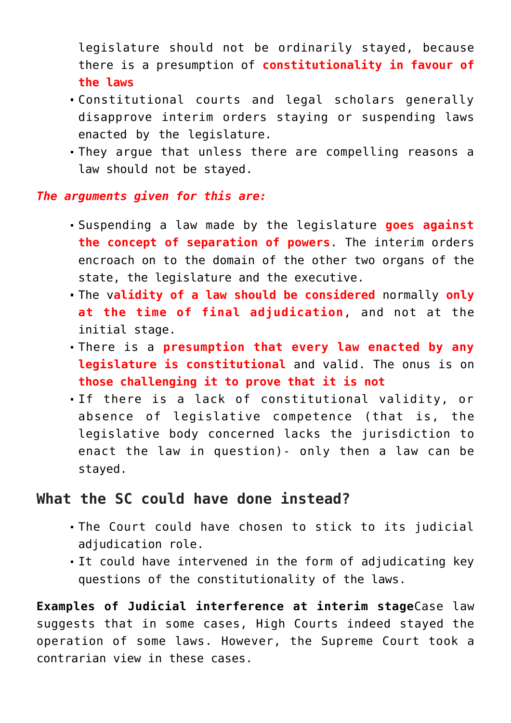legislature should not be ordinarily stayed, because there is a presumption of **constitutionality in favour of the laws**

- Constitutional courts and legal scholars generally disapprove interim orders staying or suspending laws enacted by the legislature.
- They argue that unless there are compelling reasons a law should not be stayed.

#### *The arguments given for this are:*

- Suspending a law made by the legislature **goes against the concept of separation of powers**. The interim orders encroach on to the domain of the other two organs of the state, the legislature and the executive.
- The v**alidity of a law should be considered** normally **only at the time of final adjudication**, and not at the initial stage.
- There is a **presumption that every law enacted by any legislature is constitutional** and valid. The onus is on **those challenging it to prove that it is not**
- If there is a lack of constitutional validity, or absence of legislative competence (that is, the legislative body concerned lacks the jurisdiction to enact the law in question)- only then a law can be stayed.

#### **What the SC could have done instead?**

- The Court could have chosen to stick to its judicial adjudication role.
- It could have intervened in the form of adjudicating key questions of the constitutionality of the laws.

**Examples of Judicial interference at interim stage**Case law suggests that in some cases, High Courts indeed stayed the operation of some laws. However, the Supreme Court took a contrarian view in these cases.